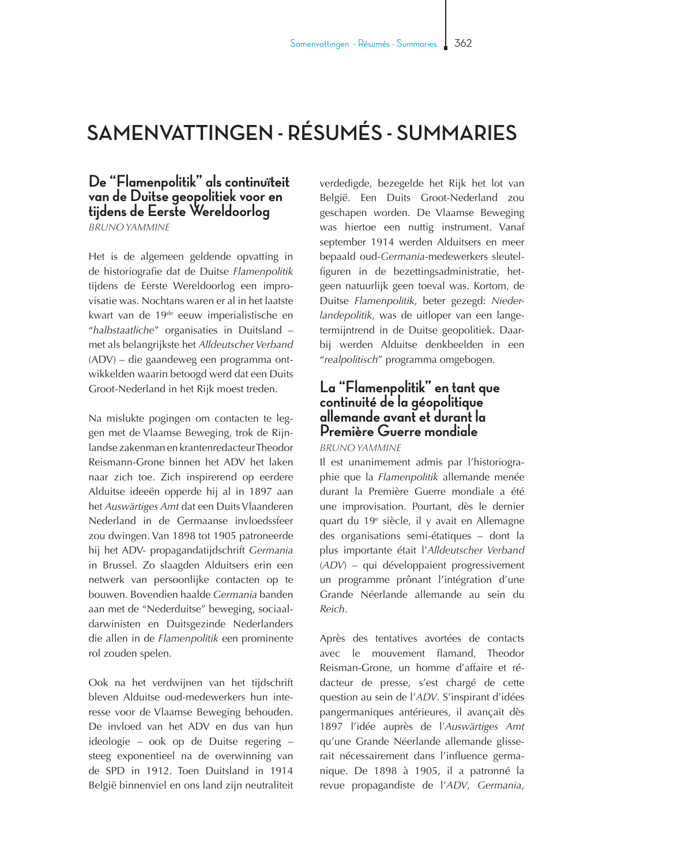## **SAMENVATTINGEN - RÉSUMÉS - SUMMARIES**

## **De "Flamenpolitik" als continuïteit van de Duitse geopolitiek voor en tijdens de Eerste Wereldoorlog**

*BRUNO YAMMINE* 

Het is de algemeen geldende opvatting in de historiografie dat de Duitse *Flamenpolitik* tijdens de Eerste Wereldoorlog een improvisatie was. Nochtans waren er al in het laatste kwart van de 19de eeuw imperialistische en "*halbstaatliche*" organisaties in Duitsland – met als belangrijkste het *Alldeutscher Verband* (ADV) – die gaandeweg een programma ontwikkelden waarin betoogd werd dat een Duits Groot-Nederland in het Rijk moest treden.

Na mislukte pogingen om contacten te leggen met de Vlaamse Beweging, trok de Rijnlandse zakenman en krantenredacteur Theodor Reismann-Grone binnen het ADV het laken naar zich toe. Zich inspirerend op eerdere Alduitse ideeën opperde hij al in 1897 aan het *Auswärtiges Amt* dat een Duits Vlaanderen Nederland in de Germaanse invloedssfeer zou dwingen. Van 1898 tot 1905 patroneerde hij het ADV- propagandatijdschrift *Germania* in Brussel. Zo slaagden Alduitsers erin een netwerk van persoonlijke contacten op te bouwen. Bovendien haalde *Germania* banden aan met de "Nederduitse" beweging, sociaaldarwinisten en Duitsgezinde Nederlanders die allen in de *Flamenpolitik* een prominente rol zouden spelen.

Ook na het verdwijnen van het tijdschrift bleven Alduitse oud-medewerkers hun interesse voor de Vlaamse Beweging behouden. De invloed van het ADV en dus van hun ideologie – ook op de Duitse regering – steeg exponentieel na de overwinning van de SPD in 1912. Toen Duitsland in 1914 België binnenviel en ons land zijn neutraliteit

verdedigde, bezegelde het Rijk het lot van België. Een Duits Groot-Nederland zou geschapen worden. De Vlaamse Beweging was hiertoe een nuttig instrument. Vanaf september 1914 werden Alduitsers en meer bepaald oud-*Germania*-medewerkers sleutelfiguren in de bezettingsadministratie, hetgeen natuurlijk geen toeval was. Kortom, de Duitse *Flamenpolitik*, beter gezegd: *Niederlandepolitik*, was de uitloper van een langetermijntrend in de Duitse geopolitiek. Daarbij werden Alduitse denkbeelden in een "*realpolitisch*" programma omgebogen.

## **La "Flamenpolitik" en tant que continuité de la géopolitique allemande avant et durant la Première Guerre mondiale**

*BRUNO YAMMINE* 

Il est unanimement admis par l'historiographie que la *Flamenpolitik* allemande menée durant la Première Guerre mondiale a été une improvisation. Pourtant, dès le dernier quart du 19<sup>e</sup> siècle, il y avait en Allemagne des organisations semi-étatiques – dont la plus importante était l'*Alldeutscher Verband* (*ADV*) – qui développaient progressivement un programme prônant l'intégration d'une Grande Néerlande allemande au sein du *Reich*.

Après des tentatives avortées de contacts avec le mouvement flamand, Theodor Reisman-Grone, un homme d'affaire et rédacteur de presse, s'est chargé de cette question au sein de l'*ADV*. S'inspirant d'idées pangermaniques antérieures, il avançait dès 1897 l'idée auprès de l'*Auswärtiges Amt*  qu'une Grande Néerlande allemande glisserait nécessairement dans l'influence germanique. De 1898 à 1905, il a patronné la revue propagandiste de l'*ADV*, *Germania*,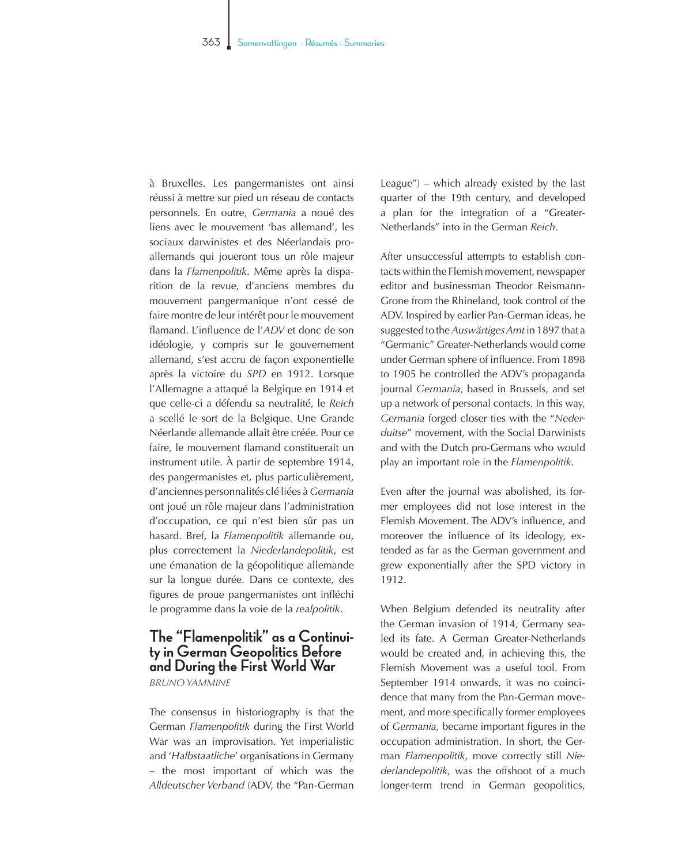à Bruxelles. Les pangermanistes ont ainsi réussi à mettre sur pied un réseau de contacts personnels. En outre, *Germania* a noué des liens avec le mouvement 'bas allemand', les sociaux darwinistes et des Néerlandais proallemands qui joueront tous un rôle majeur dans la *Flamenpolitik*. Même après la disparition de la revue, d'anciens membres du mouvement pangermanique n'ont cessé de faire montre de leur intérêt pour le mouvement flamand. L'influence de l'*ADV* et donc de son idéologie, y compris sur le gouvernement allemand, s'est accru de façon exponentielle après la victoire du *SPD* en 1912. Lorsque l'Allemagne a attaqué la Belgique en 1914 et que celle-ci a défendu sa neutralité, le *Reich* a scellé le sort de la Belgique. Une Grande Néerlande allemande allait être créée. Pour ce faire, le mouvement flamand constituerait un instrument utile. À partir de septembre 1914, des pangermanistes et, plus particulièrement, d'anciennes personnalités clé liées à *Germania* ont joué un rôle majeur dans l'administration d'occupation, ce qui n'est bien sûr pas un hasard. Bref, la *Flamenpolitik* allemande ou, plus correctement la *Niederlandepolitik*, est une émanation de la géopolitique allemande sur la longue durée. Dans ce contexte, des figures de proue pangermanistes ont infléchi le programme dans la voie de la *realpolitik*.

## **The "Flamenpolitik" as a Continuity in German Geopolitics Before and During the First World War**  *BRUNO YAMMINE*

The consensus in historiography is that the German *Flamenpolitik* during the First World War was an improvisation. Yet imperialistic and '*Halbstaatliche*' organisations in Germany – the most important of which was the *Alldeutscher Verband* (ADV, the "Pan-German League") – which already existed by the last quarter of the 19th century, and developed a plan for the integration of a "Greater-Netherlands" into in the German *Reich*.

After unsuccessful attempts to establish contacts within the Flemish movement, newspaper editor and businessman Theodor Reismann-Grone from the Rhineland, took control of the ADV. Inspired by earlier Pan-German ideas, he suggested to the *Auswärtiges Amt* in 1897 that a "Germanic" Greater-Netherlands would come under German sphere of influence. From 1898 to 1905 he controlled the ADV's propaganda journal *Germania*, based in Brussels, and set up a network of personal contacts. In this way, *Germania* forged closer ties with the "*Nederduitse*" movement, with the Social Darwinists and with the Dutch pro-Germans who would play an important role in the *Flamenpolitik*.

Even after the journal was abolished, its former employees did not lose interest in the Flemish Movement. The ADV's influence, and moreover the influence of its ideology, extended as far as the German government and grew exponentially after the SPD victory in 1912.

When Belgium defended its neutrality after the German invasion of 1914, Germany sealed its fate. A German Greater-Netherlands would be created and, in achieving this, the Flemish Movement was a useful tool. From September 1914 onwards, it was no coincidence that many from the Pan-German movement, and more specifically former employees of *Germania*, became important figures in the occupation administration. In short, the German *Flamenpolitik*, move correctly still *Niederlandepolitik*, was the offshoot of a much longer-term trend in German geopolitics,